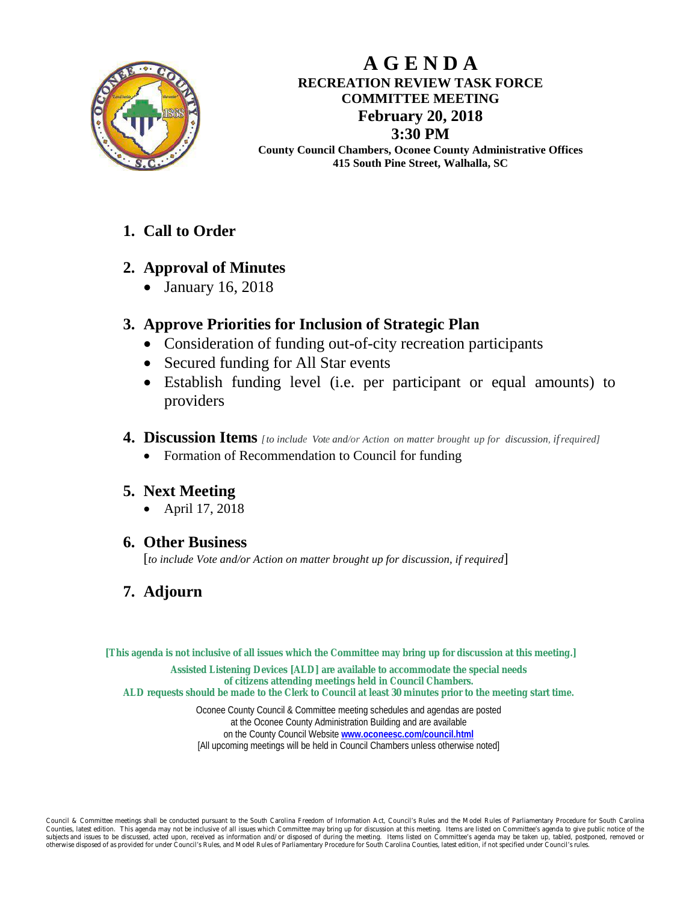

# **A G E N D A RECREATION REVIEW TASK FORCE COMMITTEE MEETING February 20, 2018 3:30 PM**

**County Council Chambers, Oconee County Administrative Offices 415 South Pine Street, Walhalla, SC**

# **1. Call to Order**

# **2. Approval of Minutes**

• January 16, 2018

# **3. Approve Priorities for Inclusion of Strategic Plan**

- Consideration of funding out-of-city recreation participants
- Secured funding for All Star events
- Establish funding level (i.e. per participant or equal amounts) to providers
- **4. Discussion Items** *[to include Vote and/or Action on matter brought up for discussion, ifrequired]*
	- Formation of Recommendation to Council for funding

## **5. Next Meeting**

• April 17, 2018

## **6. Other Business**

[*to include Vote and/or Action on matter brought up for discussion, if required*]

# **7. Adjourn**

### **[This agenda is not inclusive of all issues which the Committee may bring up for discussion at this meeting.]**

**Assisted Listening Devices [ALD] are available to accommodate the special needs of citizens attending meetings held in Council Chambers. ALD requests should be made to the Clerk to Council at least 30 minutes prior to the meeting start time.**

> Oconee County Council & Committee meeting schedules and agendas are posted at the Oconee County Administration Building and are available on the County Council Website **[www.oconeesc.com/council.html](http://www.oconeesc.com/council.html)** [All upcoming meetings will be held in Council Chambers unless otherwise noted]

Council & Committee meetings shall be conducted pursuant to the South Carolina Freedom of Information Act, Council's Rules and the Model Rules of Parliamentary Procedure for South Carolina st edition. This agenda may not be inclusive of all issues which Committee may bring up for discussion at this m subjects and issues to be discussed, acted upon, received as information and/or disposed of during the meeting. Items listed on Committee's agenda may be taken up, tabled, postponed, removed or ed of as provided for under Council's Rules, and Model Rules of Parli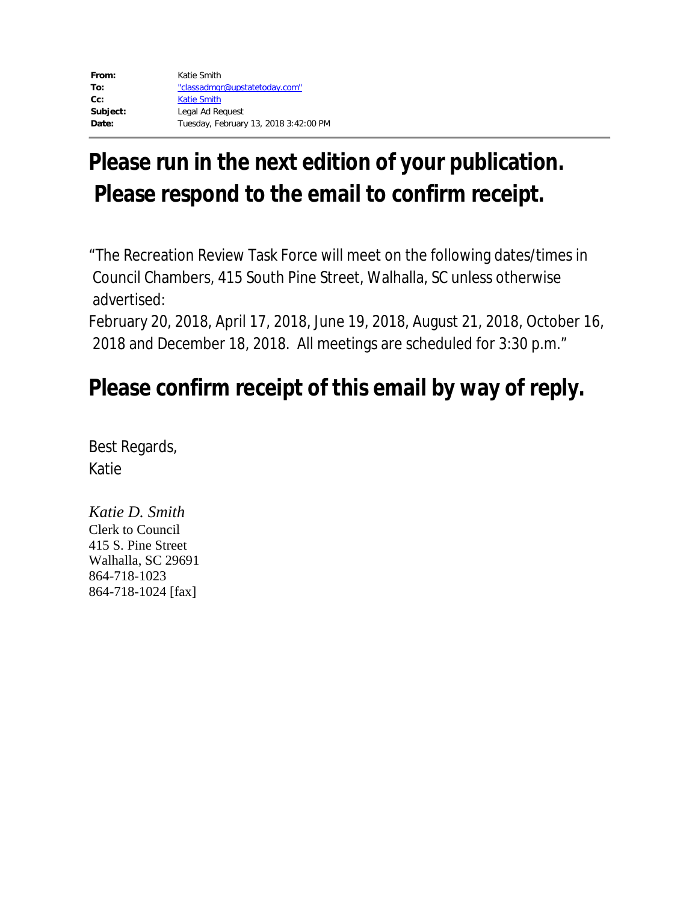# **Please run in the next edition of your publication. Please respond to the email to confirm receipt.**

"The Recreation Review Task Force will meet on the following dates/times in Council Chambers, 415 South Pine Street, Walhalla, SC unless otherwise advertised:

February 20, 2018, April 17, 2018, June 19, 2018, August 21, 2018, October 16, 2018 and December 18, 2018. All meetings are scheduled for 3:30 p.m."

# **Please confirm receipt of this email by way of reply.**

Best Regards, Katie

*Katie D. Smith* Clerk to Council 415 S. Pine Street Walhalla, SC 29691 864-718-1023 864-718-1024 [fax]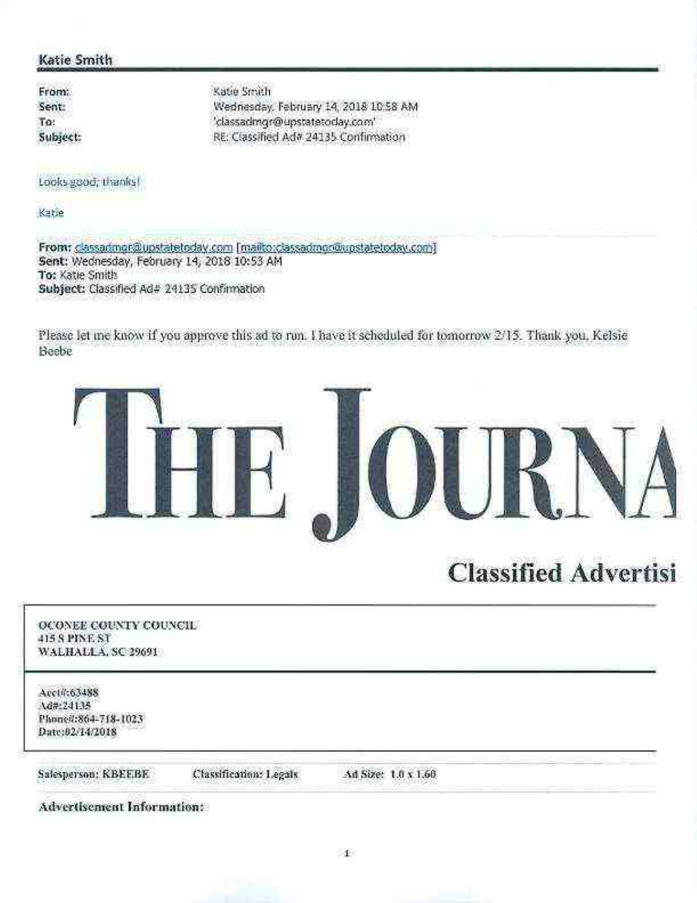# Katie Smith

From: Sent: To: Subject: Katie Smith Wednesday, February 14, 2018 10:58 AM 'classadmgr@upstatetoday.com' RE: Classified Ad# 24135 Confirmation

Looks-good; thanks!

Katie

From: classadmor@upstatetoday.com [mailto:classadmon@upstatetoday.com] Sent: Wednesday, February 14, 2018 10:53 AM To: Katie Smith Subject: Classified Ad# 24135 Confirmation

Please let me know if you approve this ad to run. I have it scheduled for tomorrow 2/15. Thank you, Kelsie Beebe



# **Classified Advertisi**

OCONEE COUNTY COUNCIL 415 S PINE ST WALHALLA, SC 29691 Acct#:63488 Ad#:24135 Phone#:864-718-1023 Date:02/14/2018 Salesperson: KBEEBE Classification: Legals Ad Size: 1.0 x 1.60 **Advertisement Information:**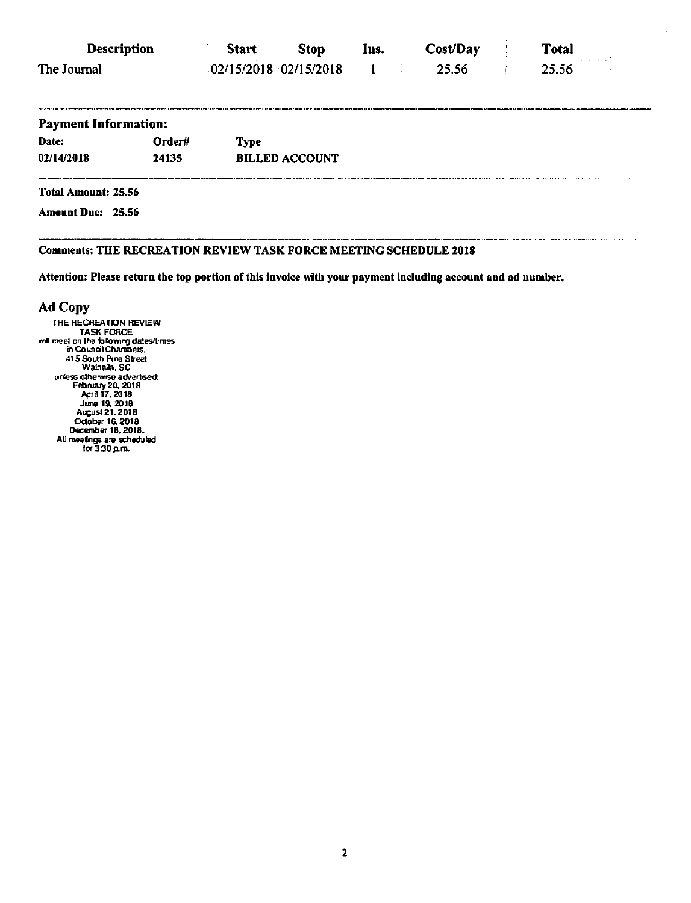| <b>Description</b>          |          | <b>Start</b>            | <b>Stop</b>           | Ins. | Cost/Day | <b>Total</b> |
|-----------------------------|----------|-------------------------|-----------------------|------|----------|--------------|
| The Journal                 | $\cdots$ | $02/15/2018$ 02/15/2018 |                       |      | 25.56    | 25.56        |
| <b>Payment Information:</b> |          |                         |                       |      |          |              |
| Date:                       | Order#   | <b>Type</b>             |                       |      |          |              |
| 02/14/2018                  | 24135    |                         | <b>BILLED ACCOUNT</b> |      |          |              |
| Total Amount: 25.56         |          |                         |                       |      |          |              |
| <b>Amount Due: 25.56</b>    |          |                         |                       |      |          |              |

### **Comments: THE RECREATION REVIEW TASK FORCE MEETING SCHEDULE 2018**

Attention: Please return the top portion of this invoice with your payment including account and ad number.

### Ad Copy

THE RECREATION REVIEW<br>THE RECREATION REVIEW<br>will meet on the tolowing dates/fimes<br>in Council Chambers.<br>415 South Pine Street<br>Walhalla, SC Walhalia, SC<br>
unless otherwise advertised:<br>
February 20, 2018<br>
Agril 17, 2018<br>
June 19, 2018<br>
August 21, 2018<br>
Odober 16, 2018<br>
December 18, 2018<br>
December 18, 2018<br>
December 18, 2018<br>
December 18, 2018 All meetings are scheduled<br>for 3:30 p.m.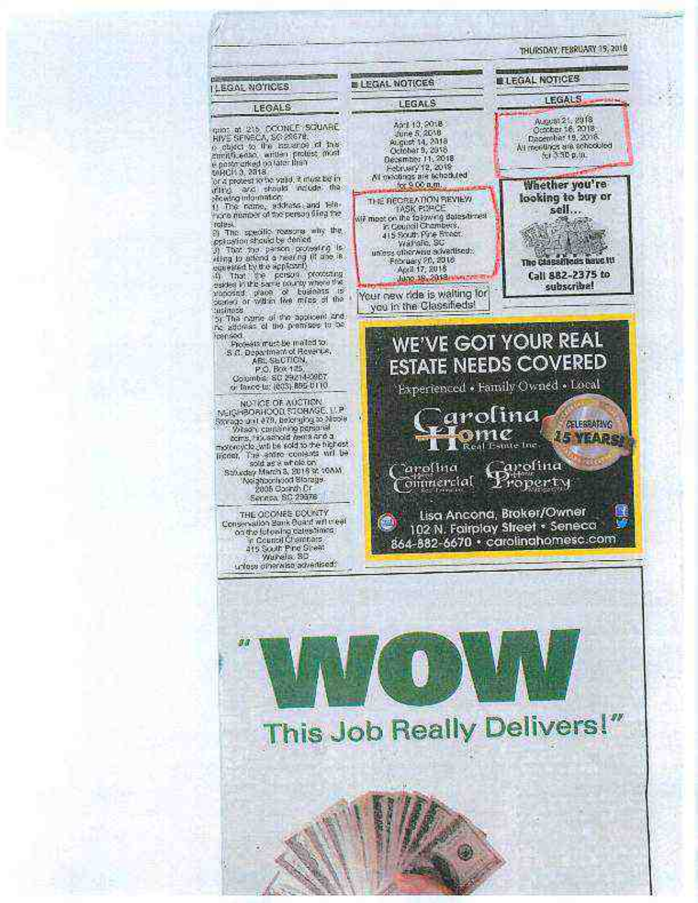

This Job Really Delivers!"